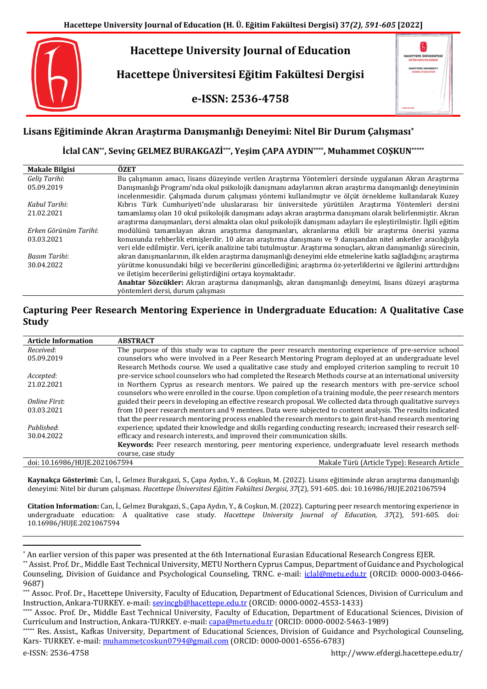# **Hacettepe University Journal of Education**

**Hacettepe Üniversitesi Eğitim Fakültesi Dergisi**

**e-ISSN: 2536-4758**

| <b>HACETTEPE ÜNIVERSITESI</b><br>ndiriar Anaticrati cataqini |
|--------------------------------------------------------------|
| <b>HACETTEPE UNIVERSITY</b><br>JOURNAL OF EDUCATION          |
| í                                                            |
|                                                              |

## **Lisans Eğitiminde Akran Araştırma Danışmanlığı Deneyimi: Nitel Bir Durum Çalışması\***

**İclal CAN\*\* , Sevinç GELMEZ BURAKGAZİ\*\*\* , Yeşim ÇAPA AYDIN\*\*\*\* , Muhammet COŞKUN\*\*\*\*\***

| <b>Makale Bilgisi</b> | ÖZET                                                                                                              |
|-----------------------|-------------------------------------------------------------------------------------------------------------------|
| Geliş Tarihi:         | Bu calismanın amacı, lisans düzeyinde verilen Arastırma Yöntemleri dersinde uygulanan Akran Arastırma             |
| 05.09.2019            | Danışmanlığı Programı'nda okul psikolojik danışmanı adaylarının akran araştırma danışmanlığı deneyiminin          |
|                       | incelenmesidir. Çalışmada durum çalışması yöntemi kullanılmıştır ve ölçüt örnekleme kullanılarak Kuzey            |
| Kabul Tarihi:         | Kıbrıs Türk Cumhuriyeti'nde uluslararası bir üniversitede yürütülen Araştırma Yöntemleri dersini                  |
| 21.02.2021            | tamamlamış olan 10 okul psikolojik danışmanı adayı akran araştırma danışmanı olarak belirlenmiştir. Akran         |
|                       | arastırma danısmanları, dersi almakta olan okul psikolojik danısmanı adayları ile eslestirilmistir. İlgili eğitim |
| Erken Görünüm Tarihi: | modülünü tamamlayan akran araştırma danışmanları, akranlarına etkili bir araştırma önerisi yazma                  |
| 03.03.2021            | konusunda rehberlik etmişlerdir. 10 akran araştırma danışmanı ve 9 danışandan nitel anketler aracılığıyla         |
|                       | veri elde edilmiştir. Veri, içerik analizine tabi tutulmuştur. Araştırma sonuçları, akran danışmanlığı sürecinin, |
| Basım Tarihi:         | akran danışmanlarının, ilk elden araştırma danışmanlığı deneyimi elde etmelerine katkı sağladığını; araştırma     |
| 30.04.2022            | yürütme konusundaki bilgi ve becerilerini güncellediğini; araştırma öz-yeterliklerini ve ilgilerini arttırdığını  |
|                       | ve iletisim becerilerini geliştirdiğini ortaya koymaktadır.                                                       |
|                       | Anahtar Sözcükler: Akran araştırma danışmanlığı, akran danışmanlığı deneyimi, lisans düzeyi araştırma             |
|                       | yöntemleri dersi, durum calışması                                                                                 |

### **Capturing Peer Research Mentoring Experience in Undergraduate Education: A Qualitative Case Study**

| <b>Article Information</b>    | <b>ABSTRACT</b>                                                                                                |
|-------------------------------|----------------------------------------------------------------------------------------------------------------|
| Received:                     | The purpose of this study was to capture the peer research mentoring experience of pre-service school          |
| 05.09.2019                    | counselors who were involved in a Peer Research Mentoring Program deploved at an undergraduate level           |
|                               | Research Methods course. We used a qualitative case study and employed criterion sampling to recruit 10        |
| Accepted:                     | pre-service school counselors who had completed the Research Methods course at an international university     |
| 21.02.2021                    | in Northern Cyprus as research mentors. We paired up the research mentors with pre-service school              |
|                               | counselors who were enrolled in the course. Upon completion of a training module, the peer research mentors    |
| Online First:                 | guided their peers in developing an effective research proposal. We collected data through qualitative surveys |
| 03.03.2021                    | from 10 peer research mentors and 9 mentees. Data were subjected to content analysis. The results indicated    |
|                               | that the peer research mentoring process enabled the research mentors to gain first-hand research mentoring    |
| Published:                    | experience; updated their knowledge and skills regarding conducting research; increased their research self-   |
| 30.04.2022                    | efficacy and research interests, and improved their communication skills.                                      |
|                               | Keywords: Peer research mentoring, peer mentoring experience, undergraduate level research methods             |
|                               | course, case study                                                                                             |
| doi: 10.16986/HUJE.2021067594 | Makale Türü (Article Type): Research Article                                                                   |

**Kaynakça Gösterimi:** Can, İ., Gelmez Burakgazi, S., Çapa Aydın, Y., & Coşkun, M. (2022). Lisans eğitiminde akran araştırma danışmanlığı deneyimi: Nitel bir durum çalışması. *Hacettepe Üniversitesi Eğitim Fakültesi Dergisi*, *37*(2), 591-605. doi: 10.16986/HUJE.2021067594

**Citation Information:** Can, İ., Gelmez Burakgazi, S., Çapa Aydın, Y., & Coşkun, M. (2022). Capturing peer research mentoring experience in undergraduate education: A qualitative case study. *Hacettepe University Journal of Education, 37*(2), 591-605. doi: 10.16986/HUJE.2021067594

 $\ddot{\phantom{a}}$ 

<sup>\*</sup> An earlier version of this paper was presented at the 6th International Eurasian Educational Research Congress EJER.

<sup>\*\*</sup> Assist. Prof. Dr., Middle East Technical University, METU Northern Cyprus Campus, Department of Guidance and Psychological Counseling, Division of Guidance and Psychological Counseling, TRNC. e-mail: [iclal@metu.edu.tr](mailto:iclal@metu.edu.tr) (ORCID: 0000-0003-0466- 9687)

<sup>\*\*\*</sup> Assoc. Prof. Dr., Hacettepe University, Faculty of Education, Department of Educational Sciences, Division of Curriculum and Instruction, Ankara-TURKEY. e-mail: [sevincgb@hacettepe.edu.tr](mailto:sevincgb@hacettepe.edu.tr) (ORCID: 0000-0002-4553-1433)

<sup>\*\*\*\*</sup> Assoc. Prof. Dr., Middle East Technical University, Faculty of Education, Department of Educational Sciences, Division of Curriculum and Instruction, Ankara-TURKEY. e-mail: [capa@metu.edu.tr](mailto:capa@metu.edu.tr) (ORCID: 0000-0002-5463-1989)

<sup>\*\*\*\*\*</sup> Res. Assist., Kafkas University, Department of Educational Sciences, Division of Guidance and Psychological Counseling, Kars- TURKEY. e-mail: [muhammetcoskun0794@gmail.com](mailto:muhammetcoskun0794@gmail.com) (ORCID: 0000-0001-6556-6783)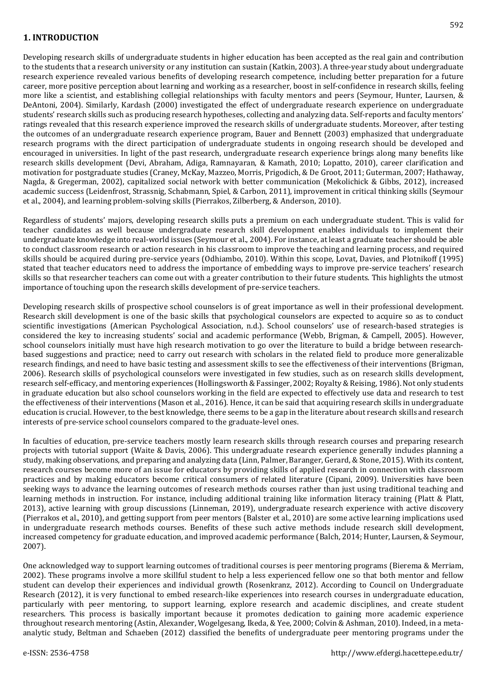### **1. INTRODUCTION**

Developing research skills of undergraduate students in higher education has been accepted as the real gain and contribution to the students that a research university or any institution can sustain (Katkin, 2003). A three-year study about undergraduate research experience revealed various benefits of developing research competence, including better preparation for a future career, more positive perception about learning and working as a researcher, boost in self-confidence in research skills, feeling more like a scientist, and establishing collegial relationships with faculty mentors and peers (Seymour, Hunter, Laursen, & DeAntoni, 2004). Similarly, Kardash (2000) investigated the effect of undergraduate research experience on undergraduate students' research skills such as producing research hypotheses, collecting and analyzing data. Self-reports and faculty mentors' ratings revealed that this research experience improved the research skills of undergraduate students. Moreover, after testing the outcomes of an undergraduate research experience program, Bauer and Bennett (2003) emphasized that undergraduate research programs with the direct participation of undergraduate students in ongoing research should be developed and encouraged in universities. In light of the past research, undergraduate research experience brings along many benefits like research skills development (Devi, Abraham, Adiga, Ramnayaran, & Kamath, 2010; Lopatto, 2010), career clarification and motivation for postgraduate studies (Craney, McKay, Mazzeo, Morris, Prigodich, & De Groot, 2011; Guterman, 2007; Hathaway, Nagda, & Gregerman, 2002), capitalized social network with better communication (Mekolichick & Gibbs, 2012), increased academic success (Leidenfrost, Strassnig, Schabmann, Spiel, & Carbon, 2011), improvement in critical thinking skills (Seymour et al., 2004), and learning problem-solving skills (Pierrakos, Zilberberg, & Anderson, 2010).

Regardless of students' majors, developing research skills puts a premium on each undergraduate student. This is valid for teacher candidates as well because undergraduate research skill development enables individuals to implement their undergraduate knowledge into real-world issues (Seymour et al., 2004). For instance, at least a graduate teacher should be able to conduct classroom research or action research in his classroom to improve the teaching and learning process, and required skills should be acquired during pre-service years (Odhiambo, 2010). Within this scope, Lovat, Davies, and Plotnikoff (1995) stated that teacher educators need to address the importance of embedding ways to improve pre-service teachers' research skills so that researcher teachers can come out with a greater contribution to their future students. This highlights the utmost importance of touching upon the research skills development of pre-service teachers.

Developing research skills of prospective school counselors is of great importance as well in their professional development. Research skill development is one of the basic skills that psychological counselors are expected to acquire so as to conduct scientific investigations (American Psychological Association, n.d.). School counselors' use of research-based strategies is considered the key to increasing students' social and academic performance (Webb, Brigman, & Campell, 2005). However, school counselors initially must have high research motivation to go over the literature to build a bridge between researchbased suggestions and practice; need to carry out research with scholars in the related field to produce more generalizable research findings, and need to have basic testing and assessment skills to see the effectiveness of their interventions (Brigman, 2006). Research skills of psychological counselors were investigated in few studies, such as on research skills development, research self-efficacy, and mentoring experiences (Hollingsworth &Fassinger, 2002; Royalty&Reising, 1986).Not only students in graduate education but also school counselors working in the field are expected to effectively use data and research to test the effectiveness of their interventions (Mason et al., 2016). Hence, it can be said that acquiring research skills in undergraduate education is crucial. However, to the best knowledge, there seems to be a gap in the literature about research skills and research interests of pre-service school counselors compared to the graduate-level ones.

In faculties of education, pre-service teachers mostly learn research skills through research courses and preparing research projects with tutorial support (Waite & Davis, 2006). This undergraduate research experience generally includes planning a study, making observations, and preparing and analyzing data (Linn, Palmer, Baranger, Gerard, & Stone, 2015). With its content, research courses become more of an issue for educators by providing skills of applied research in connection with classroom practices and by making educators become critical consumers of related literature (Cipani, 2009). Universities have been seeking ways to advance the learning outcomes of research methods courses rather than just using traditional teaching and learning methods in instruction. For instance, including additional training like information literacy training (Platt & Platt, 2013), active learning with group discussions (Linneman, 2019), undergraduate research experience with active discovery (Pierrakos et al., 2010), and getting support from peer mentors (Balster et al., 2010) are some active learning implications used in undergraduate research methods courses. Benefits of these such active methods include research skill development, increased competency for graduate education, and improved academic performance (Balch, 2014; Hunter, Laursen, & Seymour, 2007).

One acknowledged way to support learning outcomes of traditional courses is peer mentoring programs (Bierema & Merriam, 2002). These programs involve a more skillful student to help a less experienced fellow one so that both mentor and fellow student can develop their experiences and individual growth (Rosenkranz, 2012). According to Council on Undergraduate Research (2012), it is very functional to embed research-like experiences into research courses in undergraduate education, particularly with peer mentoring, to support learning, explore research and academic disciplines, and create student researchers. This process is basically important because it promotes dedication to gaining more academic experience throughout research mentoring (Astin, Alexander, Wogelgesang, Ikeda, & Yee, 2000; Colvin & Ashman, 2010). Indeed, in a metaanalytic study, Beltman and Schaeben (2012) classified the benefits of undergraduate peer mentoring programs under the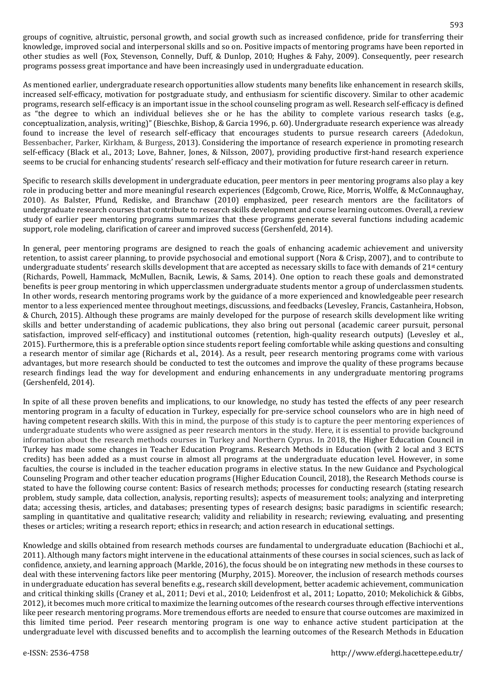groups of cognitive, altruistic, personal growth, and social growth such as increased confidence, pride for transferring their knowledge, improved social and interpersonal skills and so on. Positive impacts of mentoring programs have been reported in other studies as well (Fox, Stevenson, Connelly, Duff, & Dunlop, 2010; Hughes & Fahy, 2009). Consequently, peer research programs possess great importance and have been increasingly used in undergraduate education.

As mentioned earlier, undergraduate research opportunities allow students many benefits like enhancement in research skills, increased self-efficacy, motivation for postgraduate study, and enthusiasm for scientific discovery. Similar to other academic programs, research self-efficacy is an important issue in the school counseling program as well. Research self-efficacy is defined as "the degree to which an individual believes she or he has the ability to complete various research tasks (e.g., conceptualization, analysis, writing)" (Bieschke, Bishop, & Garcia 1996, p. 60). Undergraduate research experience was already found to increase the level of research self-efficacy that encourages students to pursue research careers (Adedokun, Bessenbacher, Parker, Kirkham, & Burgess, 2013). Considering the importance of research experience in promoting research self-efficacy (Black et al., 2013; Love, Bahner, Jones, & Nilsson, 2007), providing productive first-hand research experience seems to be crucial for enhancing students' research self-efficacy and their motivation for future research career in return.

Specific to research skills development in undergraduate education, peer mentors in peer mentoring programs also play a key role in producing better and more meaningful research experiences (Edgcomb, Crowe, Rice, Morris, Wolffe, & McConnaughay, 2010). As Balster, Pfund, Rediske, and Branchaw (2010) emphasized, peer research mentors are the facilitators of undergraduate research courses that contribute to research skills development and course learning outcomes. Overall, a review study of earlier peer mentoring programs summarizes that these programs generate several functions including academic support, role modeling, clarification of career and improved success (Gershenfeld, 2014).

In general, peer mentoring programs are designed to reach the goals of enhancing academic achievement and university retention, to assist career planning, to provide psychosocial and emotional support (Nora & Crisp, 2007), and to contribute to undergraduate students' research skills development that are accepted as necessary skills to face with demands of 21<sup>st</sup> century (Richards, Powell, Hammack, McMullen, Bacnik, Lewis, & Sams, 2014). One option to reach these goals and demonstrated benefits is peer group mentoring in which upperclassmen undergraduate students mentor a group of underclassmen students. In other words, research mentoring programs work by the guidance of a more experienced and knowledgeable peer research mentor to a less experienced mentee throughout meetings, discussions, and feedbacks (Levesley, Francis, Castanheira, Hobson, & Church, 2015). Although these programs are mainly developed for the purpose of research skills development like writing skills and better understanding of academic publications, they also bring out personal (academic career pursuit, personal satisfaction, improved self-efficacy) and institutional outcomes (retention, high-quality research outputs) (Levesley et al., 2015). Furthermore, this is a preferable option since students report feeling comfortable while asking questions and consulting a research mentor of similar age (Richards et al., 2014). As a result, peer research mentoring programs come with various advantages, but more research should be conducted to test the outcomes and improve the quality of these programs because research findings lead the way for development and enduring enhancements in any undergraduate mentoring programs (Gershenfeld, 2014).

In spite of all these proven benefits and implications, to our knowledge, no study has tested the effects of any peer research mentoring program in a faculty of education in Turkey, especially for pre-service school counselors who are in high need of having competent research skills. With this in mind, the purpose of this study is to capture the peer mentoring experiences of undergraduate students who were assigned as peer research mentors in the study. Here, it is essential to provide background information about the research methods courses in Turkey and Northern Cyprus. In 2018, the Higher Education Council in Turkey has made some changes in Teacher Education Programs. Research Methods in Education (with 2 local and 3 ECTS credits) has been added as a must course in almost all programs at the undergraduate education level. However, in some faculties, the course is included in the teacher education programs in elective status. In the new Guidance and Psychological Counseling Program and other teacher education programs (Higher Education Council, 2018), the Research Methods course is stated to have the following course content: Basics of research methods; processes for conducting research (stating research problem, study sample, data collection, analysis, reporting results); aspects of measurement tools; analyzing and interpreting data; accessing thesis, articles, and databases; presenting types of research designs; basic paradigms in scientific research; sampling in quantitative and qualitative research; validity and reliability in research; reviewing, evaluating, and presenting theses or articles; writing a research report; ethics in research; and action research in educational settings.

Knowledge and skills obtained from research methods courses are fundamental to undergraduate education (Bachiochi et al., 2011). Although many factors might intervene in the educational attainments of these courses in social sciences, such as lack of confidence, anxiety, and learning approach (Markle, 2016), the focus should be on integrating new methods in these courses to deal with these intervening factors like peer mentoring (Murphy, 2015). Moreover, the inclusion of research methods courses in undergraduate education has several benefits e.g., research skill development, better academic achievement, communication and critical thinking skills (Craney et al., 2011; Devi et al., 2010; Leidenfrost et al., 2011; Lopatto, 2010; Mekolichick & Gibbs, 2012), it becomes much more critical to maximize the learning outcomes of the research courses through effective interventions like peer research mentoring programs. More tremendous efforts are needed to ensure that course outcomes are maximized in this limited time period. Peer research mentoring program is one way to enhance active student participation at the undergraduate level with discussed benefits and to accomplish the learning outcomes of the Research Methods in Education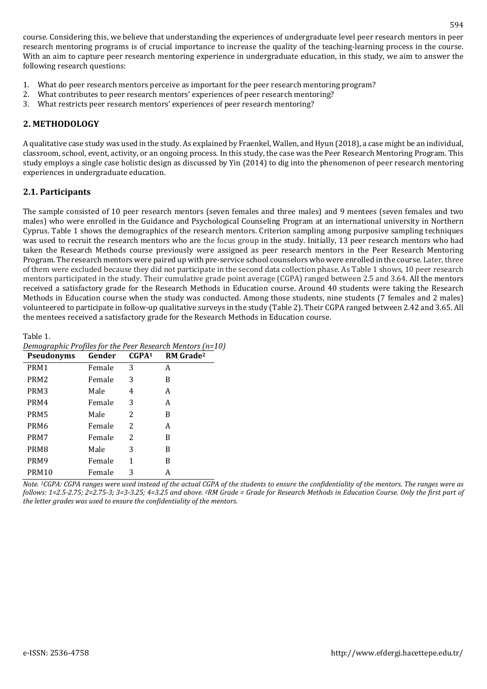course. Considering this, we believe that understanding the experiences of undergraduate level peer research mentors in peer research mentoring programs is of crucial importance to increase the quality of the teaching-learning process in the course. With an aim to capture peer research mentoring experience in undergraduate education, in this study, we aim to answer the following research questions:

- 1. What do peer research mentors perceive as important for the peer research mentoring program?
- 2. What contributes to peer research mentors' experiences of peer research mentoring?
- 3. What restricts peer research mentors' experiences of peer research mentoring?

### **2. METHODOLOGY**

A qualitative case study was used in the study. As explained by Fraenkel, Wallen, and Hyun (2018), a case might be an individual, classroom, school, event, activity, or an ongoing process. In this study, the case was the Peer Research Mentoring Program. This study employs a single case holistic design as discussed by Yin (2014) to dig into the phenomenon of peer research mentoring experiences in undergraduate education.

### **2.1. Participants**

The sample consisted of 10 peer research mentors (seven females and three males) and 9 mentees (seven females and two males) who were enrolled in the Guidance and Psychological Counseling Program at an international university in Northern Cyprus. Table 1 shows the demographics of the research mentors. Criterion sampling among purposive sampling techniques was used to recruit the research mentors who are the focus group in the study. Initially, 13 peer research mentors who had taken the Research Methods course previously were assigned as peer research mentors in the Peer Research Mentoring Program. The research mentors were paired up with pre-service school counselors who were enrolled in the course. Later, three of them were excluded because they did not participate in the second data collection phase. As Table 1 shows, 10 peer research mentors participated in the study. Their cumulative grade point average (CGPA) ranged between 2.5 and 3.64. All the mentors received a satisfactory grade for the Research Methods in Education course. Around 40 students were taking the Research Methods in Education course when the study was conducted. Among those students, nine students (7 females and 2 males) volunteered to participate in follow-up qualitative surveys in the study (Table 2). Their CGPA ranged between 2.42 and 3.65. All the mentees received a satisfactory grade for the Research Methods in Education course.

Table 1.

| Demographic Profiles for the Peer Research Mentors (n=10) |        |                   |                       |  |  |  |
|-----------------------------------------------------------|--------|-------------------|-----------------------|--|--|--|
| <b>Pseudonyms</b>                                         | Gender | CGPA <sup>1</sup> | RM Grade <sup>2</sup> |  |  |  |
| PRM1                                                      | Female | 3                 | A                     |  |  |  |
| PRM <sub>2</sub>                                          | Female | 3                 | B                     |  |  |  |
| PRM3                                                      | Male   | 4                 | A                     |  |  |  |
| PRM4                                                      | Female | 3                 | A                     |  |  |  |
| PRM5                                                      | Male   | 2                 | B                     |  |  |  |
| PRM <sub>6</sub>                                          | Female | 2                 | A                     |  |  |  |
| PRM7                                                      | Female | 2                 | B                     |  |  |  |
| PRM8                                                      | Male   | 3                 | B                     |  |  |  |
| PRM9                                                      | Female | 1                 | B                     |  |  |  |
| PRM <sub>10</sub>                                         | Female | 3                 |                       |  |  |  |

Note. <sup>1</sup>CGPA: CGPA ranges were used instead of the actual CGPA of the students to ensure the confidentiality of the mentors. The ranges were as follows: 1=2.5-2.75; 2=2.75-3; 3=3-3.25; 4=3.25 and above. <sup>2</sup>RM Grade = Grade for Research Methods in Education Course. Only the first part of *the letter grades was used to ensure the confidentiality of the mentors.*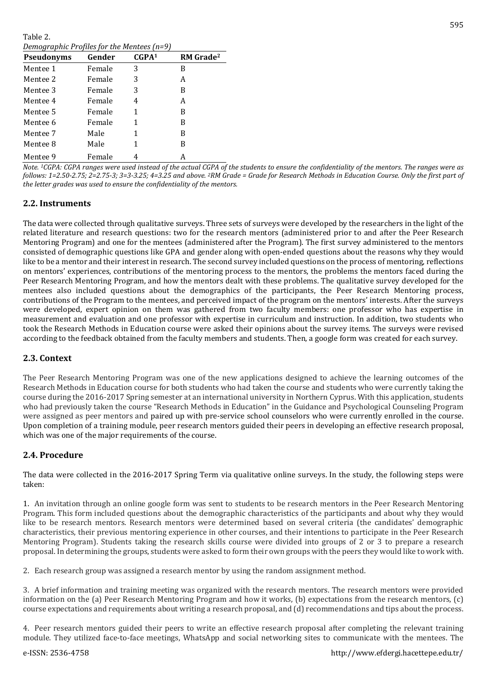Table 2. *Demographic Profiles for the Mentees (n=9)*

| <b>Pseudonyms</b> | Gender | CGPA <sup>1</sup> | <b>RM</b> Grade <sup>2</sup> |
|-------------------|--------|-------------------|------------------------------|
| Mentee 1          | Female | 3                 | В                            |
| Mentee 2          | Female | 3                 | A                            |
| Mentee 3          | Female | 3                 | В                            |
| Mentee 4          | Female | 4                 | A                            |
| Mentee 5          | Female | 1                 | В                            |
| Mentee 6          | Female | 1                 | В                            |
| Mentee 7          | Male   | 1                 | В                            |
| Mentee 8          | Male   | 1                 | B                            |
| Mentee 9          | Female | 4                 | А                            |

Note, <sup>1</sup>CGPA: CGPA ranges were used instead of the actual CGPA of the students to ensure the confidentiality of the mentors. The ranges were as follows: 1=2.50-2.75: 2=2.75-3: 3=3-3.25: 4=3.25 and above. <sup>2</sup>RM Grade = Grade for Research Methods in Education Course. Only the first part of *the letter grades was used to ensure the confidentiality of the mentors.*

### **2.2. Instruments**

The data were collected through qualitative surveys. Three sets of surveys were developed by the researchers in the light of the related literature and research questions: two for the research mentors (administered prior to and after the Peer Research Mentoring Program) and one for the mentees (administered after the Program). The first survey administered to the mentors consisted of demographic questions like GPA and gender along with open-ended questions about the reasons why they would like to be a mentor and their interest in research. The second survey included questions on the process of mentoring, reflections on mentors' experiences, contributions of the mentoring process to the mentors, the problems the mentors faced during the Peer Research Mentoring Program, and how the mentors dealt with these problems. The qualitative survey developed for the mentees also included questions about the demographics of the participants, the Peer Research Mentoring process, contributions of the Program to the mentees, and perceived impact of the program on the mentors' interests. After the surveys were developed, expert opinion on them was gathered from two faculty members: one professor who has expertise in measurement and evaluation and one professor with expertise in curriculum and instruction. In addition, two students who took the Research Methods in Education course were asked their opinions about the survey items. The surveys were revised according to the feedback obtained from the faculty members and students. Then, a google form was created for each survey.

### **2.3. Context**

The Peer Research Mentoring Program was one of the new applications designed to achieve the learning outcomes of the Research Methods in Education course for both students who had taken the course and students who were currently taking the course during the 2016-2017 Spring semester at an international university in Northern Cyprus. With this application, students who had previously taken the course "Research Methods in Education" in the Guidance and Psychological Counseling Program were assigned as peer mentors and paired up with pre-service school counselors who were currently enrolled in the course. Upon completion of a training module, peer research mentors guided their peers in developing an effective research proposal, which was one of the major requirements of the course.

### **2.4. Procedure**

The data were collected in the 2016-2017 Spring Term via qualitative online surveys. In the study, the following steps were taken:

1. An invitation through an online google form was sent to students to be research mentors in the Peer Research Mentoring Program. This form included questions about the demographic characteristics of the participants and about why they would like to be research mentors. Research mentors were determined based on several criteria (the candidates' demographic characteristics, their previous mentoring experience in other courses, and their intentions to participate in the Peer Research Mentoring Program). Students taking the research skills course were divided into groups of 2 or 3 to prepare a research proposal. In determining the groups, students were asked to form their own groups with the peers they would like to work with.

2. Each research group was assigned a research mentor by using the random assignment method.

3. A brief information and training meeting was organized with the research mentors. The research mentors were provided information on the (a) Peer Research Mentoring Program and how it works, (b) expectations from the research mentors, (c) course expectations and requirements about writing a research proposal, and (d) recommendations and tips about the process.

4. Peer research mentors guided their peers to write an effective research proposal after completing the relevant training module. They utilized face-to-face meetings, WhatsApp and social networking sites to communicate with the mentees. The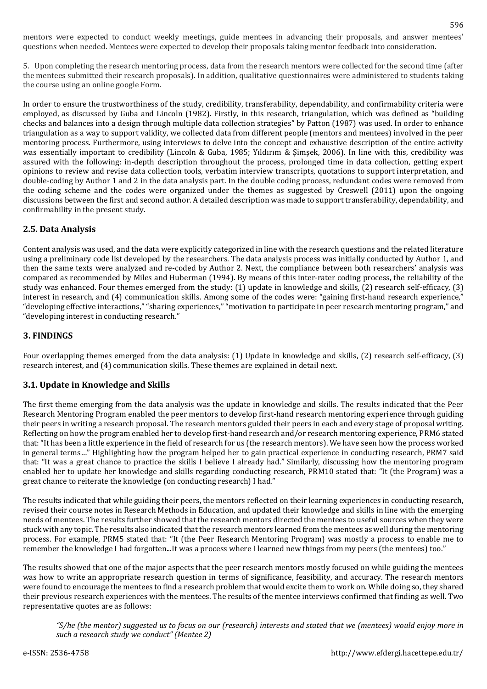mentors were expected to conduct weekly meetings, guide mentees in advancing their proposals, and answer mentees' questions when needed. Mentees were expected to develop their proposals taking mentor feedback into consideration.

5. Upon completing the research mentoring process, data from the research mentors were collected for the second time (after the mentees submitted their research proposals). In addition, qualitative questionnaires were administered to students taking the course using an online google Form.

In order to ensure the trustworthiness of the study, credibility, transferability, dependability, and confirmability criteria were employed, as discussed by Guba and Lincoln (1982). Firstly, in this research, triangulation, which was defined as "building checks and balances into a design through multiple data collection strategies" by Patton (1987) was used. In order to enhance triangulation as a way to support validity, we collected data from different people (mentors and mentees) involved in the peer mentoring process. Furthermore, using interviews to delve into the concept and exhaustive description of the entire activity was essentially important to credibility (Lincoln & Guba, 1985; Yıldırım & Şimşek, 2006). In line with this, credibility was assured with the following: in-depth description throughout the process, prolonged time in data collection, getting expert opinions to review and revise data collection tools, verbatim interview transcripts, quotations to support interpretation, and double-coding by Author 1 and 2 in the data analysis part. In the double coding process, redundant codes were removed from the coding scheme and the codes were organized under the themes as suggested by Creswell (2011) upon the ongoing discussions between the first and second author. A detailed description was made to support transferability, dependability, and confirmability in the present study.

### **2.5. Data Analysis**

Content analysis was used, and the data were explicitly categorized in line with the research questions and the related literature using a preliminary code list developed by the researchers. The data analysis process was initially conducted by Author 1, and then the same texts were analyzed and re-coded by Author 2. Next, the compliance between both researchers' analysis was compared as recommended by Miles and Huberman (1994). By means of this inter-rater coding process, the reliability of the study was enhanced. Four themes emerged from the study: (1) update in knowledge and skills, (2) research self-efficacy, (3) interest in research, and (4) communication skills. Among some of the codes were: "gaining first-hand research experience," "developing effective interactions," "sharing experiences," "motivation to participate in peer research mentoring program," and "developing interest in conducting research."

### **3. FINDINGS**

Four overlapping themes emerged from the data analysis: (1) Update in knowledge and skills, (2) research self-efficacy, (3) research interest, and (4) communication skills. These themes are explained in detail next.

### **3.1. Update in Knowledge and Skills**

The first theme emerging from the data analysis was the update in knowledge and skills. The results indicated that the Peer Research Mentoring Program enabled the peer mentors to develop first-hand research mentoring experience through guiding their peers in writing a research proposal. The research mentors guided their peers in each and every stage of proposal writing. Reflecting on how the program enabled her to develop first-hand research and/or research mentoring experience, PRM6 stated that: "It has been a little experience in the field of research for us (the research mentors). We have seen how the process worked in general terms…" Highlighting how the program helped her to gain practical experience in conducting research, PRM7 said that: "It was a great chance to practice the skills I believe I already had." Similarly, discussing how the mentoring program enabled her to update her knowledge and skills regarding conducting research, PRM10 stated that: "It (the Program) was a great chance to reiterate the knowledge (on conducting research) I had."

The results indicated that while guiding their peers, the mentors reflected on their learning experiences in conducting research, revised their course notes in Research Methods in Education, and updated their knowledge and skills in line with the emerging needs of mentees. The results further showed that the research mentors directed the mentees to useful sources when they were stuck with any topic. The results also indicated that the research mentors learned from the mentees as well during the mentoring process. For example, PRM5 stated that: "It (the Peer Research Mentoring Program) was mostly a process to enable me to remember the knowledge I had forgotten...It was a process where I learned new things from my peers (the mentees) too."

The results showed that one of the major aspects that the peer research mentors mostly focused on while guiding the mentees was how to write an appropriate research question in terms of significance, feasibility, and accuracy. The research mentors were found to encourage the mentees to find a research problem that would excite them to work on. While doing so, they shared their previous research experiences with the mentees. The results of the mentee interviews confirmed that finding as well. Two representative quotes are as follows:

"S/he (the mentor) suggested us to focus on our (research) interests and stated that we (mentees) would enjoy more in *such a research study we conduct" (Mentee 2)*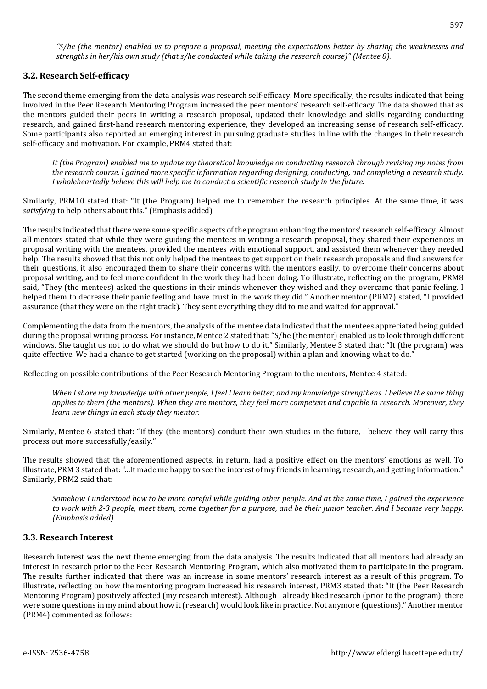"S/he (the mentor) enabled us to prepare a proposal, meeting the expectations better by sharing the weaknesses and *strengths in her/his own study (that s/he conducted while taking the research course)" (Mentee 8).*

### **3.2. Research Self-efficacy**

The second theme emerging from the data analysis was research self-efficacy. More specifically, the results indicated that being involved in the Peer Research Mentoring Program increased the peer mentors' research self-efficacy. The data showed that as the mentors guided their peers in writing a research proposal, updated their knowledge and skills regarding conducting research, and gained first-hand research mentoring experience, they developed an increasing sense of research self-efficacy. Some participants also reported an emerging interest in pursuing graduate studies in line with the changes in their research self-efficacy and motivation. For example, PRM4 stated that:

It (the Program) enabled me to update my theoretical knowledge on conducting research through revising my notes from the research course. I gained more specific information regarding designing, conducting, and completing a research study. *I wholeheartedly believe this will help me to conduct a scientific research study in the future.*

Similarly, PRM10 stated that: "It (the Program) helped me to remember the research principles. At the same time, it was *satisfying* to help others about this." (Emphasis added)

The results indicated that there were some specific aspects of the program enhancing the mentors' research self-efficacy. Almost all mentors stated that while they were guiding the mentees in writing a research proposal, they shared their experiences in proposal writing with the mentees, provided the mentees with emotional support, and assisted them whenever they needed help. The results showed that this not only helped the mentees to get support on their research proposals and find answers for their questions, it also encouraged them to share their concerns with the mentors easily, to overcome their concerns about proposal writing, and to feel more confident in the work they had been doing. To illustrate, reflecting on the program, PRM8 said, "They (the mentees) asked the questions in their minds whenever they wished and they overcame that panic feeling. I helped them to decrease their panic feeling and have trust in the work they did." Another mentor (PRM7) stated, "I provided assurance (that they were on the right track). They sent everything they did to me and waited for approval."

Complementing the data from the mentors, the analysis of the mentee data indicated that the mentees appreciated being guided during the proposal writing process. For instance, Mentee 2 stated that: "S/he (the mentor) enabled us to look through different windows. She taught us not to do what we should do but how to do it." Similarly, Mentee 3 stated that: "It (the program) was quite effective. We had a chance to get started (working on the proposal) within a plan and knowing what to do."

Reflecting on possible contributions of the Peer Research Mentoring Program to the mentors, Mentee 4 stated:

When I share my knowledge with other people, I feel I learn better, and my knowledge strengthens. I believe the same thing applies to them (the mentors). When they are mentors, they feel more competent and capable in research. Moreover, they *learn new things in each study they mentor.*

Similarly, Mentee 6 stated that: "If they (the mentors) conduct their own studies in the future, I believe they will carry this process out more successfully/easily."

The results showed that the aforementioned aspects, in return, had a positive effect on the mentors' emotions as well. To illustrate, PRM 3 stated that:"...It made me happy to see the interest of my friends in learning, research, and getting information." Similarly, PRM2 said that:

Somehow I understood how to be more careful while guiding other people. And at the same time, I gained the experience to work with 2-3 people, meet them, come together for a purpose, and be their junior teacher. And I became very happy. *(Emphasis added)*

#### **3.3. Research Interest**

Research interest was the next theme emerging from the data analysis. The results indicated that all mentors had already an interest in research prior to the Peer Research Mentoring Program, which also motivated them to participate in the program. The results further indicated that there was an increase in some mentors' research interest as a result of this program. To illustrate, reflecting on how the mentoring program increased his research interest, PRM3 stated that: "It (the Peer Research Mentoring Program) positively affected (my research interest). Although I already liked research (prior to the program), there were some questions in my mind about how it (research) would look like in practice. Not anymore (questions)." Another mentor (PRM4) commented as follows: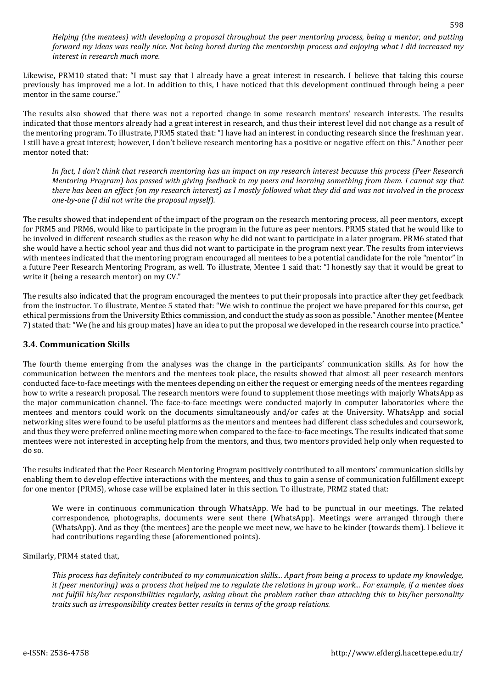Helping (the mentees) with developing a proposal throughout the peer mentoring process, being a mentor, and putting forward my ideas was really nice. Not beina bored durina the mentorship process and enjoying what I did increased my *interest in research much more.*

Likewise, PRM10 stated that: "I must say that I already have a great interest in research. I believe that taking this course previously has improved me a lot. In addition to this, I have noticed that this development continued through being a peer mentor in the same course."

The results also showed that there was not a reported change in some research mentors' research interests. The results indicated that those mentors already had a great interest in research, and thus their interest level did not change as a result of the mentoring program. To illustrate, PRM5 stated that: "I have had an interest in conducting research since the freshman year. I still have a great interest; however, I don't believe research mentoring has a positive or negative effect on this." Another peer mentor noted that:

In fact, I don't think that research mentoring has an impact on my research interest because this process (Peer Research Mentoring Program) has passed with giving feedback to my peers and learning something from them. I cannot say that there has been an effect (on my research interest) as I mostly followed what they did and was not involved in the process *one-by-one (I did not write the proposal myself).*

The results showed that independent of the impact of the program on the research mentoring process, all peer mentors, except for PRM5 and PRM6, would like to participate in the program in the future as peer mentors. PRM5 stated that he would like to be involved in different research studies as the reason why he did not want to participate in a later program. PRM6 stated that she would have a hectic school year and thus did not want to participate in the program next year. The results from interviews with mentees indicated that the mentoring program encouraged all mentees to be a potential candidate for the role "mentor" in a future Peer Research Mentoring Program, as well. To illustrate, Mentee 1 said that: "I honestly say that it would be great to write it (being a research mentor) on my CV."

The results also indicated that the program encouraged the mentees to put their proposals into practice after they get feedback from the instructor. To illustrate, Mentee 5 stated that: "We wish to continue the project we have prepared for this course, get ethical permissions from the University Ethics commission, and conduct the study as soon as possible." Another mentee (Mentee 7) stated that: "We (he and his group mates) have an idea to put the proposal we developed in the research course into practice."

### **3.4. Communication Skills**

The fourth theme emerging from the analyses was the change in the participants' communication skills. As for how the communication between the mentors and the mentees took place, the results showed that almost all peer research mentors conducted face-to-face meetings with the mentees depending on either the request or emerging needs of the mentees regarding how to write a research proposal. The research mentors were found to supplement those meetings with majorly WhatsApp as the major communication channel. The face-to-face meetings were conducted majorly in computer laboratories where the mentees and mentors could work on the documents simultaneously and/or cafes at the University. WhatsApp and social networking sites were found to be useful platforms as the mentors and mentees had different class schedules and coursework, and thus they were preferred online meeting more when compared to the face-to-face meetings. The results indicated that some mentees were not interested in accepting help from the mentors, and thus, two mentors provided help only when requested to do so.

The results indicated that the Peer Research Mentoring Program positively contributed to all mentors' communication skills by enabling them to develop effective interactions with the mentees, and thus to gain a sense of communication fulfillment except for one mentor (PRM5), whose case will be explained later in this section. To illustrate, PRM2 stated that:

We were in continuous communication through WhatsApp. We had to be punctual in our meetings. The related correspondence, photographs, documents were sent there (WhatsApp). Meetings were arranged through there (WhatsApp). And as they (the mentees) are the people we meet new, we have to be kinder (towards them). I believe it had contributions regarding these (aforementioned points).

Similarly, PRM4 stated that,

This process has definitely contributed to my communication skills... Apart from being a process to update my knowledge, it (peer mentoring) was a process that helped me to regulate the relations in group work... For example, if a mentee does not fulfill his/her responsibilities regularly, asking about the problem rather than attaching this to his/her personality *traits such as irresponsibility creates better results in terms of the group relations.*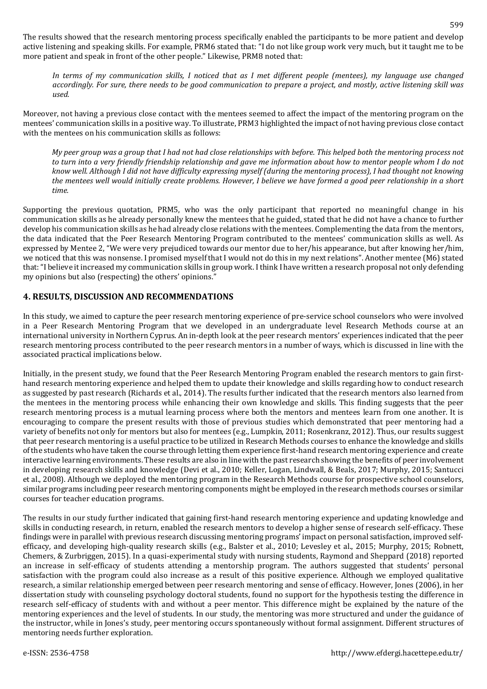The results showed that the research mentoring process specifically enabled the participants to be more patient and develop active listening and speaking skills. For example, PRM6 stated that: "I do not like group work very much, but it taught me to be more patient and speak in front of the other people." Likewise, PRM8 noted that:

In terms of my communication skills, I noticed that as I met different people (mentees), my language use changed accordingly. For sure, there needs to be good communication to prepare a project, and mostly, active listening skill was *used.*

Moreover, not having a previous close contact with the mentees seemed to affect the impact of the mentoring program on the mentees' communication skills in a positive way. To illustrate, PRM3 highlighted the impact of not having previous close contact with the mentees on his communication skills as follows:

My peer group was a group that I had not had close relationships with before. This helped both the mentoring process not to turn into a very friendly friendship relationship and gave me information about how to mentor people whom I do not know well. Although I did not have difficulty expressing myself (during the mentoring process), I had thought not knowing the mentees well would initially create problems. However, I believe we have formed a good peer relationship in a short *time.*

Supporting the previous quotation, PRM5, who was the only participant that reported no meaningful change in his communication skills as he already personally knew the mentees that he guided, stated that he did not have a chance to further develop his communication skills as he had already close relations with the mentees. Complementing the data from the mentors, the data indicated that the Peer Research Mentoring Program contributed to the mentees' communication skills as well. As expressed by Mentee 2, "We were very prejudiced towards our mentor due to her/his appearance, but after knowing her/him, we noticed that this was nonsense. I promised myself that I would not do this in my next relations". Another mentee (M6) stated that:"I believe it increased my communication skills in group work. I think I have written a research proposal not only defending my opinions but also (respecting) the others' opinions."

### **4. RESULTS, DISCUSSION AND RECOMMENDATIONS**

In this study, we aimed to capture the peer research mentoring experience of pre-service school counselors who were involved in a Peer Research Mentoring Program that we developed in an undergraduate level Research Methods course at an international university in Northern Cyprus. An in-depth look at the peer research mentors' experiences indicated that the peer research mentoring process contributed to the peer research mentors in a number of ways, which is discussed in line with the associated practical implications below.

Initially, in the present study, we found that the Peer Research Mentoring Program enabled the research mentors to gain firsthand research mentoring experience and helped them to update their knowledge and skills regarding how to conduct research as suggested by past research (Richards et al., 2014). The results further indicated that the research mentors also learned from the mentees in the mentoring process while enhancing their own knowledge and skills. This finding suggests that the peer research mentoring process is a mutual learning process where both the mentors and mentees learn from one another. It is encouraging to compare the present results with those of previous studies which demonstrated that peer mentoring had a variety of benefits not only for mentors but also for mentees (e.g., Lumpkin, 2011; Rosenkranz, 2012). Thus, our results suggest that peer research mentoring is a useful practice to be utilized in Research Methods courses to enhance the knowledge and skills ofthe students who have taken the course through letting them experience first-hand research mentoring experience and create interactive learning environments. These results are also in line with the past research showing the benefits of peer involvement in developing research skills and knowledge (Devi et al., 2010; Keller, Logan, Lindwall, & Beals, 2017; Murphy, 2015; Santucci et al., 2008). Although we deployed the mentoring program in the Research Methods course for prospective school counselors, similar programs including peer research mentoring components might be employed in the research methods courses or similar courses for teacher education programs.

The results in our study further indicated that gaining first-hand research mentoring experience and updating knowledge and skills in conducting research, in return, enabled the research mentors to develop a higher sense of research self-efficacy. These findings were in parallel with previous research discussing mentoring programs' impact on personal satisfaction, improved selfefficacy, and developing high-quality research skills (e.g., Balster et al., 2010; Levesley et al., 2015; Murphy, 2015; Robnett, Chemers, & Zurbriggen, 2015). In a quasi-experimental study with nursing students, Raymond and Sheppard (2018) reported an increase in self-efficacy of students attending a mentorship program. The authors suggested that students' personal satisfaction with the program could also increase as a result of this positive experience. Although we employed qualitative research, a similar relationship emerged between peer research mentoring and sense of efficacy. However, Jones (2006), in her dissertation study with counseling psychology doctoral students, found no support for the hypothesis testing the difference in research self-efficacy of students with and without a peer mentor. This difference might be explained by the nature of the mentoring experiences and the level of students. In our study, the mentoring was more structured and under the guidance of the instructor, while in Jones's study, peer mentoring occurs spontaneously without formal assignment. Different structures of mentoring needs further exploration.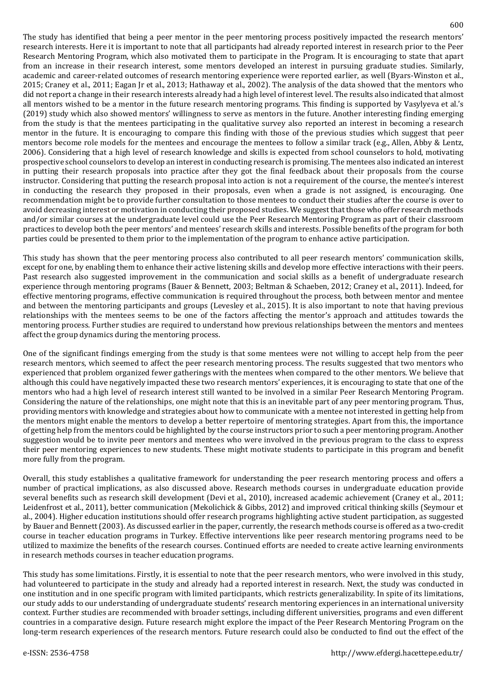The study has identified that being a peer mentor in the peer mentoring process positively impacted the research mentors' research interests. Here it is important to note that all participants had already reported interest in research prior to the Peer Research Mentoring Program, which also motivated them to participate in the Program. It is encouraging to state that apart from an increase in their research interest, some mentors developed an interest in pursuing graduate studies. Similarly, academic and career-related outcomes of research mentoring experience were reported earlier, as well (Byars-Winston et al., 2015; Craney et al., 2011; Eagan Jr et al., 2013; Hathaway et al., 2002). The analysis of the data showed that the mentors who did not report a change in their research interests already had a high level of interest level. The results also indicated that almost all mentors wished to be a mentor in the future research mentoring programs. This finding is supported by Vasylyeva et al.'s (2019) study which also showed mentors' willingness to serve as mentors in the future. Another interesting finding emerging from the study is that the mentees participating in the qualitative survey also reported an interest in becoming a research mentor in the future. It is encouraging to compare this finding with those of the previous studies which suggest that peer mentors become role models for the mentees and encourage the mentees to follow a similar track (e.g., Allen, Abby & Lentz, 2006). Considering that a high level of research knowledge and skills is expected from school counselors to hold, motivating prospective school counselors to develop an interest in conducting research is promising. The mentees also indicated an interest in putting their research proposals into practice after they got the final feedback about their proposals from the course instructor. Considering that putting the research proposal into action is not a requirement of the course, the mentee's interest in conducting the research they proposed in their proposals, even when a grade is not assigned, is encouraging. One recommendation might be to provide further consultation to those mentees to conduct their studies after the course is over to avoid decreasing interest or motivation in conducting their proposed studies. We suggest that those who offer research methods and/or similar courses at the undergraduate level could use the Peer Research Mentoring Program as part of their classroom practices to develop both the peer mentors' and mentees' research skills and interests. Possible benefits of the program for both parties could be presented to them prior to the implementation of the program to enhance active participation.

This study has shown that the peer mentoring process also contributed to all peer research mentors' communication skills, except for one, by enabling them to enhance their active listening skills and develop more effective interactions with their peers. Past research also suggested improvement in the communication and social skills as a benefit of undergraduate research experience through mentoring programs (Bauer & Bennett, 2003; Beltman & Schaeben, 2012; Craney et al., 2011). Indeed, for effective mentoring programs, effective communication is required throughout the process, both between mentor and mentee and between the mentoring participants and groups (Levesley et al., 2015). It is also important to note that having previous relationships with the mentees seems to be one of the factors affecting the mentor's approach and attitudes towards the mentoring process. Further studies are required to understand how previous relationships between the mentors and mentees affect the group dynamics during the mentoring process.

One of the significant findings emerging from the study is that some mentees were not willing to accept help from the peer research mentors, which seemed to affect the peer research mentoring process. The results suggested that two mentors who experienced that problem organized fewer gatherings with the mentees when compared to the other mentors. We believe that although this could have negatively impacted these two research mentors' experiences, it is encouraging to state that one of the mentors who had a high level of research interest still wanted to be involved in a similar Peer Research Mentoring Program. Considering the nature of the relationships, one might note that this is an inevitable part of any peer mentoring program. Thus, providing mentors with knowledge and strategies about how to communicate with a mentee not interested in getting help from the mentors might enable the mentors to develop a better repertoire of mentoring strategies. Apart from this, the importance of getting help from the mentors could be highlighted by the course instructors prior to such a peer mentoring program. Another suggestion would be to invite peer mentors and mentees who were involved in the previous program to the class to express their peer mentoring experiences to new students. These might motivate students to participate in this program and benefit more fully from the program.

Overall, this study establishes a qualitative framework for understanding the peer research mentoring process and offers a number of practical implications, as also discussed above. Research methods courses in undergraduate education provide several benefits such as research skill development (Devi et al., 2010), increased academic achievement (Craney et al., 2011; Leidenfrost et al., 2011), better communication (Mekolichick & Gibbs, 2012) and improved critical thinking skills (Seymour et al., 2004). Higher education institutions should offer research programs highlighting active student participation, as suggested by Bauer and Bennett(2003). As discussed earlier in the paper, currently, the research methods course is offered as a two-credit course in teacher education programs in Turkey. Effective interventions like peer research mentoring programs need to be utilized to maximize the benefits of the research courses. Continued efforts are needed to create active learning environments in research methods courses in teacher education programs.

This study has some limitations. Firstly, it is essential to note that the peer research mentors, who were involved in this study, had volunteered to participate in the study and already had a reported interest in research. Next, the study was conducted in one institution and in one specific program with limited participants, which restricts generalizability. In spite of its limitations, our study adds to our understanding of undergraduate students' research mentoring experiences in an international university context. Further studies are recommended with broader settings, including different universities, programs and even different countries in a comparative design. Future research might explore the impact of the Peer Research Mentoring Program on the long-term research experiences of the research mentors. Future research could also be conducted to find out the effect of the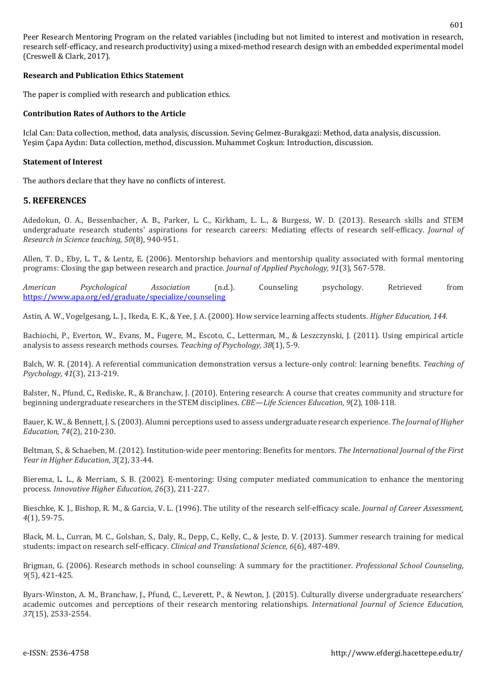Peer Research Mentoring Program on the related variables (including but not limited to interest and motivation in research, research self-efficacy, and research productivity) using a mixed-method research design with an embedded experimental model (Creswell & Clark, 2017).

#### **Research and Publication Ethics Statement**

The paper is complied with research and publication ethics.

#### **Contribution Rates of Authors to the Article**

Iclal Can: Data collection, method, data analysis, discussion. Sevinç Gelmez-Burakgazi: Method, data analysis, discussion. Yeşim Çapa Aydın: Data collection, method, discussion. Muhammet Coşkun: Introduction, discussion.

#### **Statement of Interest**

The authors declare that they have no conflicts of interest.

### **5. REFERENCES**

Adedokun, O. A., Bessenbacher, A. B., Parker, L. C., Kirkham, L. L., & Burgess, W. D. (2013). Research skills and STEM undergraduate research students' aspirations for research careers: Mediating effects of research self‐efficacy. *Journal of Research in Science teaching, 50*(8), 940-951.

Allen, T. D., Eby, L. T., & Lentz, E. (2006). Mentorship behaviors and mentorship quality associated with formal mentoring programs: Closing the gap between research and practice. *Journal of Applied Psychology, 91*(3), 567-578.

*American Psychological Association* (n.d.). Counseling psychology. Retrieved from <https://www.apa.org/ed/graduate/specialize/counseling>

Astin, A. W., Vogelgesang, L. J., Ikeda, E. K., & Yee, J. A. (2000). How service learning affects students. *Higher Education, 144.*

Bachiochi, P., Everton, W., Evans, M., Fugere, M., Escoto, C., Letterman, M., & Leszczynski, J. (2011). Using empirical article analysis to assess research methods courses. *Teaching of Psychology, 38*(1), 5-9.

Balch, W. R. (2014). A referential communication demonstration versus a lecture-only control: learning benefits. *Teaching of Psychology, 41*(3), 213-219.

Balster, N., Pfund, C., Rediske, R., & Branchaw, J. (2010). Entering research: A course that creates community and structure for beginning undergraduate researchers in the STEM disciplines. *CBE—Life Sciences Education*, *9*(2), 108-118.

Bauer, K. W.,&Bennett, J. S.(2003). Alumni perceptions used to assess undergraduate research experience. *The Journal ofHigher Education*, *74*(2), 210-230.

Beltman, S., & Schaeben, M. (2012). Institution-wide peer mentoring: Benefits for mentors. *The International Journal of the First Year in Higher Education*, *3*(2), 33-44.

Bierema, L. L., & Merriam, S. B. (2002). E-mentoring: Using computer mediated communication to enhance the mentoring process. *Innovative Higher Education*, *26*(3), 211-227.

Bieschke, K. J., Bishop, R. M., & Garcia, V. L. (1996). The utility of the research self-efficacy scale. *Journal of Career Assessment, 4*(1), 59-75.

Black, M. L., Curran, M. C., Golshan, S., Daly, R., Depp, C., Kelly, C., & Jeste, D. V. (2013). Summer research training for medical students: impact on research self‐efficacy. *Clinical and Translational Science, 6*(6), 487-489.

Brigman, G. (2006). Research methods in school counseling: A summary for the practitioner. *Professional School Counseling*, *9*(5), 421-425.

Byars-Winston, A. M., Branchaw, J., Pfund, C., Leverett, P., & Newton, J. (2015). Culturally diverse undergraduate researchers' academic outcomes and perceptions of their research mentoring relationships. *International Journal of Science Education, 37*(15), 2533-2554.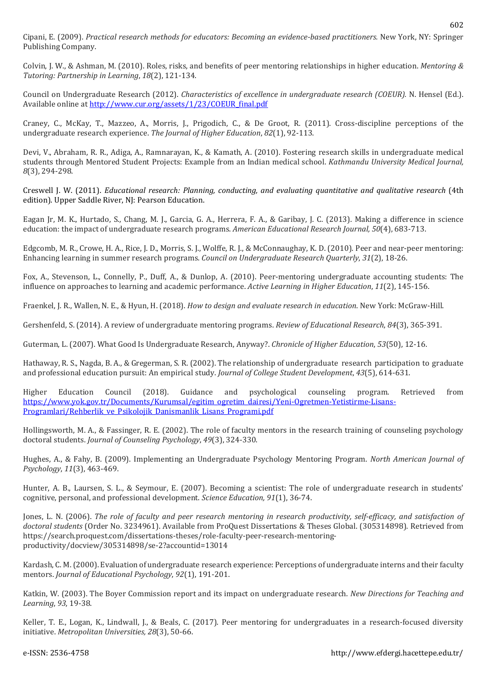Cipani, E. (2009). *Practical research methods for educators: Becoming an evidence-based practitioners.* New York, NY: Springer Publishing Company.

Colvin, J. W., & Ashman, M. (2010). Roles, risks, and benefits of peer mentoring relationships in higher education. *Mentoring & Tutoring: Partnership in Learning*, *18*(2), 121-134.

Council on Undergraduate Research (2012). *Characteristics of excellence in undergraduate research (COEUR).* N. Hensel (Ed.). Available online at [http://www.cur.org/assets/1/23/COEUR\\_final.pdf](http://www.cur.org/assets/1/23/COEUR_final.pdf)

Craney, C., McKay, T., Mazzeo, A., Morris, J., Prigodich, C., & De Groot, R. (2011). Cross-discipline perceptions of the undergraduate research experience. *The Journal of Higher Education*, *82*(1), 92-113.

Devi, V., Abraham, R. R., Adiga, A., Ramnarayan, K., & Kamath, A. (2010). Fostering research skills in undergraduate medical students through Mentored Student Projects: Example from an Indian medical school. *Kathmandu University Medical Journal, 8*(3), 294-298.

Creswell J. W. (2011). *Educational research: Planning, conducting, and evaluating quantitative and qualitative research* (4th edition). Upper Saddle River, NJ: Pearson Education.

Eagan Jr, M. K., Hurtado, S., Chang, M. J., Garcia, G. A., Herrera, F. A., & Garibay, J. C. (2013). Making a difference in science education: the impact of undergraduate research programs. *American Educational Research Journal, 50*(4), 683-713.

Edgcomb, M. R., Crowe, H. A., Rice, J. D., Morris, S. J., Wolffe, R. J., & McConnaughay, K. D. (2010). Peer and near-peer mentoring: Enhancing learning in summer research programs. *Council on Undergraduate Research Quarterly*, *31*(2), 18-26.

Fox, A., Stevenson, L., Connelly, P., Duff, A., & Dunlop, A. (2010). Peer-mentoring undergraduate accounting students: The influence on approaches to learning and academic performance. *Active Learning in Higher Education*, *11*(2), 145-156.

Fraenkel, J. R., Wallen, N. E., & Hyun, H. (2018). *How to design and evaluate research in education*. New York: McGraw-Hill.

Gershenfeld, S. (2014). A review of undergraduate mentoring programs. *Review of Educational Research*, *84*(3), 365-391.

Guterman, L. (2007). What Good Is Undergraduate Research, Anyway?. *Chronicle of Higher Education*, *53*(50), 12-16.

Hathaway, R. S., Nagda, B. A., & Gregerman, S. R. (2002). The relationship of undergraduate research participation to graduate and professional education pursuit: An empirical study. *Journal of College Student Development*, *43*(5), 614-631.

Higher Education Council (2018). Guidance and psychological counseling program. Retrieved from [https://www.yok.gov.tr/Documents/Kurumsal/egitim\\_ogretim\\_dairesi/Yeni-Ogretmen-Yetistirme-Lisans-](about:blank)[Programlari/Rehberlik\\_ve\\_Psikolojik\\_Danismanlik\\_Lisans\\_Programi.pdf](about:blank)

Hollingsworth, M. A., & Fassinger, R. E. (2002). The role of faculty mentors in the research training of counseling psychology doctoral students. *Journal of Counseling Psychology*, *49*(3), 324-330.

Hughes, A., & Fahy, B. (2009). Implementing an Undergraduate Psychology Mentoring Program. *North American Journal of Psychology*, *11*(3), 463-469.

Hunter, A. B., Laursen, S. L., & Seymour, E. (2007). Becoming a scientist: The role of undergraduate research in students' cognitive, personal, and professional development. *Science Education, 91*(1), 36-74.

Jones, L. N. (2006). The role of faculty and peer research mentoring in research productivity, self-efficacy, and satisfaction of *doctoral students* (Order No. 3234961). Available from ProQuest Dissertations & Theses Global. (305314898). Retrieved from https://search.proquest.com/dissertations-theses/role-faculty-peer-research-mentoringproductivity/docview/305314898/se-2?accountid=13014

Kardash, C. M.(2000). Evaluation of undergraduate research experience: Perceptions of undergraduate interns and their faculty mentors. *Journal of Educational Psychology*, *92*(1), 191-201.

Katkin, W. (2003). The Boyer Commission report and its impact on undergraduate research. *New Directions for Teaching and Learning*, *93*, 19-38.

Keller, T. E., Logan, K., Lindwall, J., & Beals, C. (2017). Peer mentoring for undergraduates in a research-focused diversity initiative. *Metropolitan Universities, 28*(3), 50-66.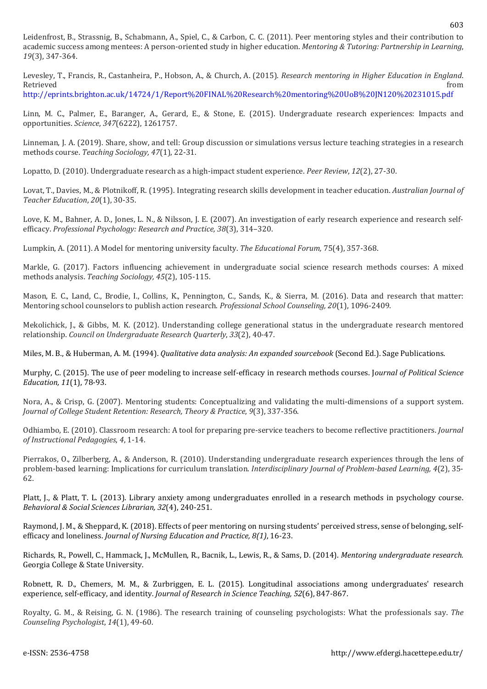Leidenfrost, B., Strassnig, B., Schabmann, A., Spiel, C., & Carbon, C. C. (2011). Peer mentoring styles and their contribution to academic success among mentees: A person-oriented study in higher education. *Mentoring & Tutoring: Partnership in Learning*, *19*(3), 347-364.

Levesley, T., Francis, R., Castanheira, P., Hobson, A., & Church, A. (2015). *Research mentoring in Higher Education in England*. Retrieved from the contract of the contract of the contract of the contract of the contract of the contract of the contract of the contract of the contract of the contract of the contract of the contract of the contract of http://eprints.brighton.ac.uk/14724/1/Report%20FINAL%20Research%20mentoring%20UoB%20JN120%20231015.pdf

Linn, M. C., Palmer, E., Baranger, A., Gerard, E., & Stone, E. (2015). Undergraduate research experiences: Impacts and opportunities. *Science*, *347*(6222), 1261757.

Linneman, J. A. (2019). Share, show, and tell: Group discussion or simulations versus lecture teaching strategies in a research methods course. *Teaching Sociology, 47*(1), 22-31.

Lopatto, D. (2010). Undergraduate research as a high-impact student experience. *Peer Review*, *12*(2), 27-30.

Lovat, T., Davies, M., & Plotnikoff, R. (1995). Integrating research skills development in teacher education. *Australian Journal of Teacher Education*, *20*(1), 30-35.

Love, K. M., Bahner, A. D., Jones, L. N., & Nilsson, J. E. (2007). An investigation of early research experience and research selfefficacy. *Professional Psychology: Research and Practice, 38*(3), 314–320.

Lumpkin, A. (2011). A Model for mentoring university faculty. *The Educational Forum,* 75(4), 357-368.

Markle, G. (2017). Factors influencing achievement in undergraduate social science research methods courses: A mixed methods analysis. *Teaching Sociology, 45*(2), 105-115.

Mason, E. C., Land, C., Brodie, I., Collins, K., Pennington, C., Sands, K., & Sierra, M. (2016). Data and research that matter: Mentoring school counselors to publish action research. *Professional School Counseling, 20*(1), 1096-2409.

Mekolichick, J., & Gibbs, M. K. (2012). Understanding college generational status in the undergraduate research mentored relationship. *Council on Undergraduate Research Quarterly*, *33*(2), 40-47.

Miles, M. B., & Huberman, A. M. (1994). *Qualitative data analysis: An expanded sourcebook* (Second Ed.). Sage Publications.

Murphy, C. (2015). The use of peer modeling to increase self-efficacy in research methods courses. J*ournal of Political Science Education, 11*(1), 78-93.

Nora, A., & Crisp, G. (2007). Mentoring students: Conceptualizing and validating the multi-dimensions of a support system. *Journal of College Student Retention: Research, Theory & Practice*, *9*(3), 337-356.

Odhiambo, E. (2010). Classroom research: A tool for preparing pre-service teachers to become reflective practitioners. *Journal of Instructional Pedagogies*, *4*, 1-14.

Pierrakos, O., Zilberberg, A., & Anderson, R. (2010). Understanding undergraduate research experiences through the lens of problem-based learning: Implications for curriculum translation. *Interdisciplinary Journal of Problem-based Learning, 4*(2), 35- 62.

Platt, J., & Platt, T. L. (2013). Library anxiety among undergraduates enrolled in a research methods in psychology course. *Behavioral & Social Sciences Librarian, 32*(4), 240-251.

Raymond, J. M., & Sheppard, K. (2018). Effects of peer mentoring on nursing students' perceived stress, sense of belonging, selfefficacy and loneliness. *Journal of Nursing Education and Practice, 8(1)*, 16-23.

Richards, R., Powell, C., Hammack, J., McMullen, R., Bacnik, L., Lewis, R., & Sams, D. (2014). *Mentoring undergraduate research.* Georgia College & State University.

Robnett, R. D., Chemers, M. M., & Zurbriggen, E. L. (2015). Longitudinal associations among undergraduates' research experience, self‐efficacy, and identity. *Journal of Research in Science Teaching, 52*(6), 847-867.

Royalty, G. M., & Reising, G. N. (1986). The research training of counseling psychologists: What the professionals say. *The Counseling Psychologist*, *14*(1), 49-60.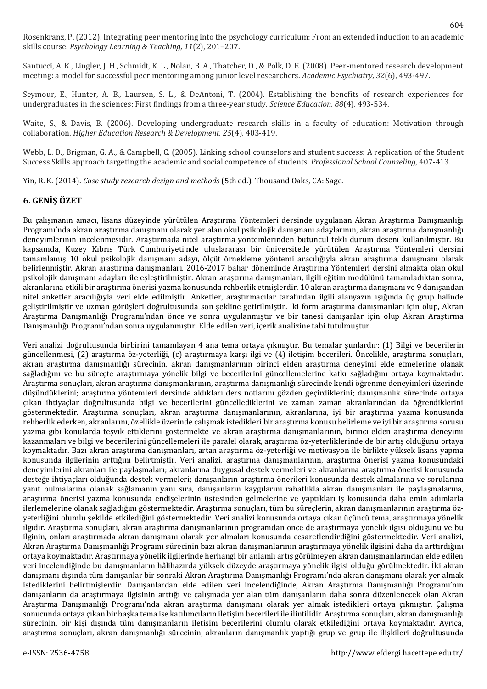Rosenkranz, P. (2012). Integrating peer mentoring into the psychology curriculum: From an extended induction to an academic skills course. *Psychology Learning & Teaching, 11*(2), 201–207.

Santucci, A. K., Lingler, J. H., Schmidt, K. L., Nolan, B. A., Thatcher, D., & Polk, D. E. (2008). Peer-mentored research development meeting: a model for successful peer mentoring among junior level researchers. *Academic Psychiatry, 32*(6), 493-497.

Seymour, E., Hunter, A. B., Laursen, S. L., & DeAntoni, T. (2004). Establishing the benefits of research experiences for undergraduates in the sciences: First findings from a three‐year study. *Science Education*, *88*(4), 493-534.

Waite, S., & Davis, B. (2006). Developing undergraduate research skills in a faculty of education: Motivation through collaboration. *Higher Education Research & Development*, *25*(4), 403-419.

Webb, L. D., Brigman, G. A., & Campbell, C. (2005). Linking school counselors and student success: A replication of the Student Success Skills approach targeting the academic and social competence of students. *Professional School Counseling*, 407-413.

Yin, R. K. (2014). *Case study research design and methods* (5th ed.). Thousand Oaks, CA: Sage.

### **6. GENİŞ ÖZET**

Bu çalışmanın amacı, lisans düzeyinde yürütülen Araştırma Yöntemleri dersinde uygulanan Akran Araştırma Danışmanlığı Programı'nda akran araştırma danışmanı olarak yer alan okul psikolojik danışmanı adaylarının, akran araştırma danışmanlığı deneyimlerinin incelenmesidir. Araştırmada nitel araştırma yöntemlerinden bütüncül tekli durum deseni kullanılmıştır. Bu kapsamda, Kuzey Kıbrıs Türk Cumhuriyeti'nde uluslararası bir üniversitede yürütülen Araştırma Yöntemleri dersini tamamlamış 10 okul psikolojik danışmanı adayı, ölçüt örnekleme yöntemi aracılığıyla akran araştırma danışmanı olarak belirlenmiştir. Akran araştırma danışmanları, 2016-2017 bahar döneminde Araştırma Yöntemleri dersini almakta olan okul psikolojik danışmanı adayları ile eşleştirilmiştir. Akran araştırma danışmanları, ilgili eğitim modülünü tamamladıktan sonra, akranlarına etkili bir araştırma önerisi yazma konusunda rehberlik etmişlerdir. 10 akran araştırma danışmanı ve 9 danışandan nitel anketler aracılığıyla veri elde edilmiştir. Anketler, araştırmacılar tarafından ilgili alanyazın ışığında üç grup halinde geliştirilmiştir ve uzman görüşleri doğrultusunda son şekline getirilmiştir. İki form araştırma danışmanları için olup, Akran Araştırma Danışmanlığı Programı'ndan önce ve sonra uygulanmıştır ve bir tanesi danışanlar için olup Akran Araştırma Danışmanlığı Programı'ndan sonra uygulanmıştır. Elde edilen veri, içerik analizine tabi tutulmuştur.

Veri analizi doğrultusunda birbirini tamamlayan 4 ana tema ortaya çıkmıştır. Bu temalar şunlardır: (1) Bilgi ve becerilerin güncellenmesi, (2) araştırma öz-yeterliği, (c) araştırmaya karşı ilgi ve (4) iletişim becerileri. Öncelikle, araştırma sonuçları, akran araştırma danışmanlığı sürecinin, akran danışmanlarının birinci elden araştırma deneyimi elde etmelerine olanak sağladığını ve bu süreçte araştırmaya yönelik bilgi ve becerilerini güncellemelerine katkı sağladığını ortaya koymaktadır. Araştırma sonuçları, akran araştırma danışmanlarının, araştırma danışmanlığı sürecinde kendi öğrenme deneyimleri üzerinde düşündüklerini; araştırma yöntemleri dersinde aldıkları ders notlarını gözden geçirdiklerini; danışmanlık sürecinde ortaya çıkan ihtiyaçlar doğrultusunda bilgi ve becerilerini güncellediklerini ve zaman zaman akranlarından da öğrendiklerini göstermektedir. Araştırma sonuçları, akran araştırma danışmanlarının, akranlarına, iyi bir araştırma yazma konusunda rehberlik ederken, akranlarını, özellikle üzerinde çalışmak istedikleri bir araştırma konusu belirleme ve iyi bir araştırma sorusu yazma gibi konularda teşvik ettiklerini göstermekte ve akran araştırma danışmanlarının, birinci elden araştırma deneyimi kazanmaları ve bilgi ve becerilerini güncellemeleri ile paralel olarak, araştırma öz-yeterliklerinde de bir artış olduğunu ortaya koymaktadır. Bazı akran araştırma danışmanları, artan araştırma öz-yeterliği ve motivasyon ile birlikte yüksek lisans yapma konusunda ilgilerinin arttığını belirtmiştir. Veri analizi, araştırma danışmanlarının, araştırma önerisi yazma konusundaki deneyimlerini akranları ile paylaşmaları; akranlarına duygusal destek vermeleri ve akranlarına araştırma önerisi konusunda desteğe ihtiyaçları olduğunda destek vermeleri; danışanların araştırma önerileri konusunda destek almalarına ve sorularına yanıt bulmalarına olanak sağlamanın yanı sıra, danışanların kaygılarını rahatlıkla akran danışmanları ile paylaşmalarına, araştırma önerisi yazma konusunda endişelerinin üstesinden gelmelerine ve yaptıkları iş konusunda daha emin adımlarla ilerlemelerine olanak sağladığını göstermektedir. Araştırma sonuçları, tüm bu süreçlerin, akran danışmanlarının araştırma özyeterliğini olumlu şekilde etkilediğini göstermektedir. Veri analizi konusunda ortaya çıkan üçüncü tema, araştırmaya yönelik ilgidir. Araştırma sonuçları, akran araştırma danışmanlarının programdan önce de araştırmaya yönelik ilgisi olduğunu ve bu ilginin, onları araştırmada akran danışmanı olarak yer almaları konusunda cesaretlendirdiğini göstermektedir. Veri analizi, Akran Araştırma Danışmanlığı Programı sürecinin bazı akran danışmanlarının araştırmaya yönelik ilgisini daha da arttırdığını ortaya koymaktadır. Araştırmaya yönelik ilgilerinde herhangi bir anlamlı artış görülmeyen akran danışmanlarından elde edilen veri incelendiğinde bu danışmanların hâlihazırda yüksek düzeyde araştırmaya yönelik ilgisi olduğu görülmektedir. İki akran danışmanı dışında tüm danışanlar bir sonraki Akran Araştırma Danışmanlığı Programı'nda akran danışmanı olarak yer almak istediklerini belirtmişlerdir. Danışanlardan elde edilen veri incelendiğinde, Akran Araştırma Danışmanlığı Programı'nın danışanların da araştırmaya ilgisinin arttığı ve çalışmada yer alan tüm danışanların daha sonra düzenlenecek olan Akran Araştırma Danışmanlığı Programı'nda akran araştırma danışmanı olarak yer almak istedikleri ortaya çıkmıştır. Çalışma sonucunda ortaya çıkan bir başka tema ise katılımcıların iletişim becerileri ile ilintilidir. Araştırma sonuçları, akran danışmanlığı sürecinin, bir kişi dışında tüm danışmanların iletişim becerilerini olumlu olarak etkilediğini ortaya koymaktadır. Ayrıca, araştırma sonuçları, akran danışmanlığı sürecinin, akranların danışmanlık yaptığı grup ve grup ile ilişkileri doğrultusunda